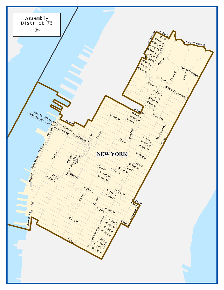